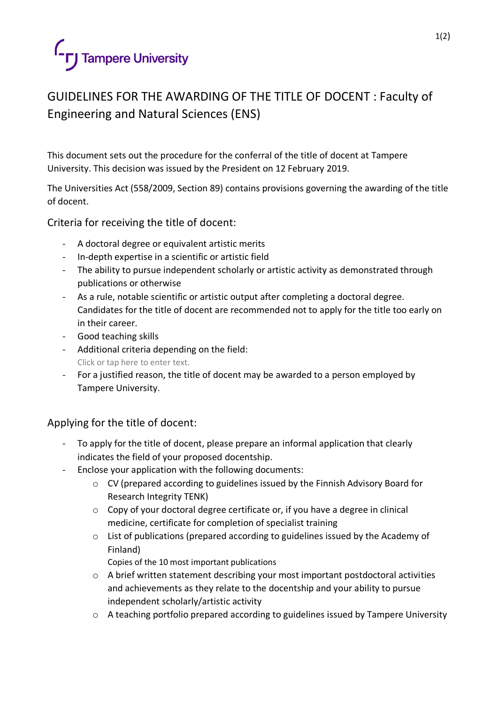

## GUIDELINES FOR THE AWARDING OF THE TITLE OF DOCENT : Faculty of Engineering and Natural Sciences (ENS)

This document sets out the procedure for the conferral of the title of docent at Tampere University. This decision was issued by the President on 12 February 2019.

The Universities Act (558/2009, Section 89) contains provisions governing the awarding of the title of docent.

Criteria for receiving the title of docent:

- A doctoral degree or equivalent artistic merits
- In-depth expertise in a scientific or artistic field
- The ability to pursue independent scholarly or artistic activity as demonstrated through publications or otherwise
- As a rule, notable scientific or artistic output after completing a doctoral degree. Candidates for the title of docent are recommended not to apply for the title too early on in their career.
- Good teaching skills
- Additional criteria depending on the field: Click or tap here to enter text.
- For a justified reason, the title of docent may be awarded to a person employed by Tampere University.

## Applying for the title of docent:

- To apply for the title of docent, please prepare an informal application that clearly indicates the field of your proposed docentship.
- Enclose your application with the following documents:
	- o CV (prepared according to guidelines issued by the Finnish Advisory Board for Research Integrity TENK)
	- o Copy of your doctoral degree certificate or, if you have a degree in clinical medicine, certificate for completion of specialist training
	- $\circ$  List of publications (prepared according to guidelines issued by the Academy of Finland)
		- Copies of the 10 most important publications
	- o A brief written statement describing your most important postdoctoral activities and achievements as they relate to the docentship and your ability to pursue independent scholarly/artistic activity
	- o A teaching portfolio prepared according to guidelines issued by Tampere University